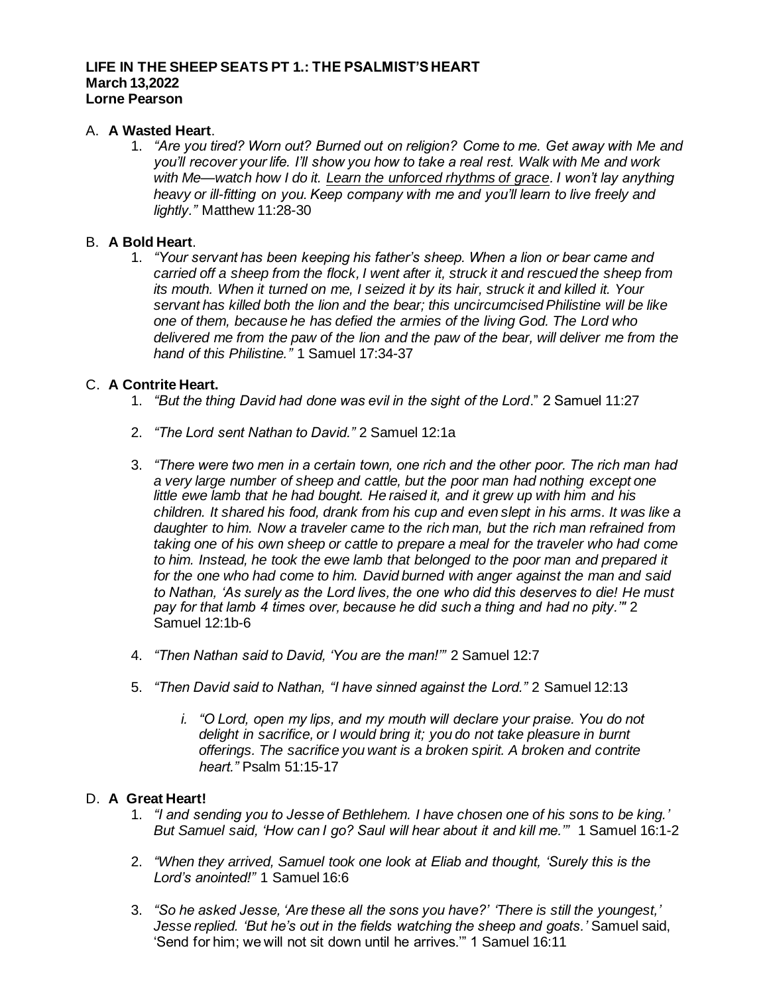#### **LIFE IN THE SHEEP SEATS PT 1.: THE PSALMIST'S HEART March 13,2022 Lorne Pearson**

# A. **A Wasted Heart**.

1. *"Are you tired? Worn out? Burned out on religion? Come to me. Get away with Me and you'll recover your life. I'll show you how to take a real rest. Walk with Me and work with Me—watch how I do it. Learn the unforced rhythms of grace. I won't lay anything heavy or ill-fitting on you. Keep company with me and you'll learn to live freely and lightly."* Matthew 11:28-30

## B. **A Bold Heart**.

1. *"Your servant has been keeping his father's sheep. When a lion or bear came and carried off a sheep from the flock, I went after it, struck it and rescued the sheep from its mouth. When it turned on me, I seized it by its hair, struck it and killed it. Your servant has killed both the lion and the bear; this uncircumcised Philistine will be like one of them, because he has defied the armies of the living God. The Lord who delivered me from the paw of the lion and the paw of the bear, will deliver me from the hand of this Philistine."* 1 Samuel 17:34-37

## C. **A Contrite Heart.**

- 1. *"But the thing David had done was evil in the sight of the Lord*." 2 Samuel 11:27
- 2. *"The Lord sent Nathan to David."* 2 Samuel 12:1a
- 3. *"There were two men in a certain town, one rich and the other poor. The rich man had a very large number of sheep and cattle, but the poor man had nothing except one little ewe lamb that he had bought. He raised it, and it grew up with him and his children. It shared his food, drank from his cup and even slept in his arms. It was like a daughter to him. Now a traveler came to the rich man, but the rich man refrained from taking one of his own sheep or cattle to prepare a meal for the traveler who had come to him. Instead, he took the ewe lamb that belonged to the poor man and prepared it for the one who had come to him. David burned with anger against the man and said to Nathan, 'As surely as the Lord lives, the one who did this deserves to die! He must pay for that lamb 4 times over, because he did such a thing and had no pity.'"* 2 Samuel 12:1b-6
- 4. *"Then Nathan said to David, 'You are the man!'"* 2 Samuel 12:7
- 5. *"Then David said to Nathan, "I have sinned against the Lord."* 2 Samuel 12:13
	- *i. "O Lord, open my lips, and my mouth will declare your praise. You do not delight in sacrifice, or I would bring it; you do not take pleasure in burnt offerings. The sacrifice you want is a broken spirit. A broken and contrite heart."* Psalm 51:15-17

#### D. **A Great Heart!**

- 1. *"I and sending you to Jesse of Bethlehem. I have chosen one of his sons to be king.' But Samuel said, 'How can I go? Saul will hear about it and kill me.'"* 1 Samuel 16:1-2
- 2. *"When they arrived, Samuel took one look at Eliab and thought, 'Surely this is the Lord's anointed!"* 1 Samuel 16:6
- 3. *"So he asked Jesse, 'Are these all the sons you have?' 'There is still the youngest,' Jesse replied. 'But he's out in the fields watching the sheep and goats.'* Samuel said, 'Send for him; we will not sit down until he arrives.'" 1 Samuel 16:11